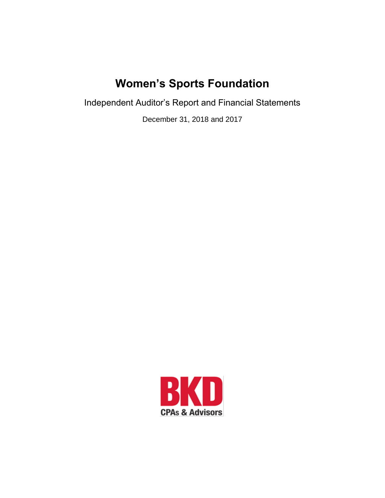Independent Auditor's Report and Financial Statements

December 31, 2018 and 2017

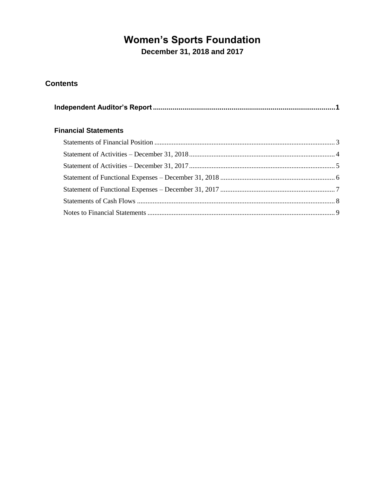**December 31, 2018 and 2017**

### **Contents**

| <b>Financial Statements</b> |  |
|-----------------------------|--|
|                             |  |
|                             |  |
|                             |  |
|                             |  |
|                             |  |
|                             |  |
|                             |  |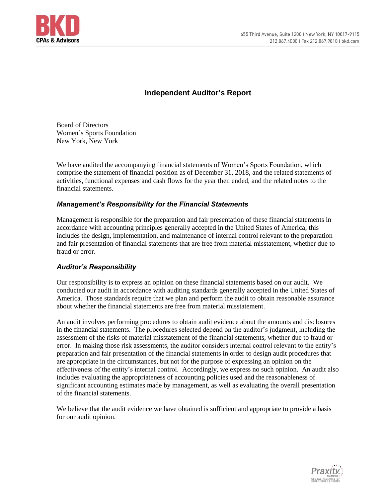

### **Independent Auditor's Report**

<span id="page-2-0"></span>Board of Directors Women's Sports Foundation New York, New York

We have audited the accompanying financial statements of Women's Sports Foundation, which comprise the statement of financial position as of December 31, 2018, and the related statements of activities, functional expenses and cash flows for the year then ended, and the related notes to the financial statements.

#### *Management's Responsibility for the Financial Statements*

Management is responsible for the preparation and fair presentation of these financial statements in accordance with accounting principles generally accepted in the United States of America; this includes the design, implementation, and maintenance of internal control relevant to the preparation and fair presentation of financial statements that are free from material misstatement, whether due to fraud or error.

#### *Auditor's Responsibility*

Our responsibility is to express an opinion on these financial statements based on our audit. We conducted our audit in accordance with auditing standards generally accepted in the United States of America. Those standards require that we plan and perform the audit to obtain reasonable assurance about whether the financial statements are free from material misstatement.

An audit involves performing procedures to obtain audit evidence about the amounts and disclosures in the financial statements. The procedures selected depend on the auditor's judgment, including the assessment of the risks of material misstatement of the financial statements, whether due to fraud or error. In making those risk assessments, the auditor considers internal control relevant to the entity's preparation and fair presentation of the financial statements in order to design audit procedures that are appropriate in the circumstances, but not for the purpose of expressing an opinion on the effectiveness of the entity's internal control. Accordingly, we express no such opinion. An audit also includes evaluating the appropriateness of accounting policies used and the reasonableness of significant accounting estimates made by management, as well as evaluating the overall presentation of the financial statements.

We believe that the audit evidence we have obtained is sufficient and appropriate to provide a basis for our audit opinion.

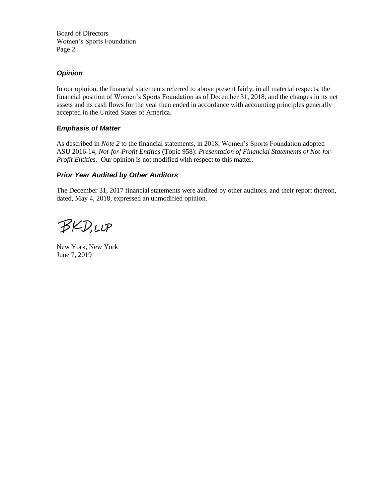Board of Directors Women's Sports Foundation Page 2

#### *Opinion*

In our opinion, the financial statements referred to above present fairly, in all material respects, the financial position of Women's Sports Foundation as of December 31, 2018, and the changes in its net assets and its cash flows for the year then ended in accordance with accounting principles generally accepted in the United States of America.

#### *Emphasis of Matter*

As described in *Note 2* to the financial statements, in 2018, Women's Sports Foundation adopted ASU 2016-14, *Not-for-Profit Entities* (Topic 958): *Presentation of Financial Statements of Not-for-Profit Entities.* Our opinion is not modified with respect to this matter.

#### *Prior Year Audited by Other Auditors*

The December 31, 2017 financial statements were audited by other auditors, and their report thereon, dated, May 4, 2018, expressed an unmodified opinion.

**BKD,LLP** 

New York, New York June 7, 2019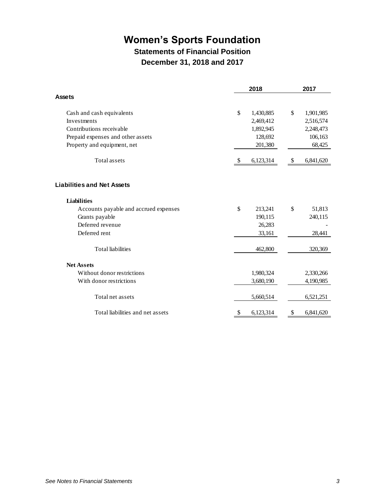### **Statements of Financial Position December 31, 2018 and 2017**

<span id="page-4-0"></span>

|                                                         |               | 2017      |                           |                   |
|---------------------------------------------------------|---------------|-----------|---------------------------|-------------------|
| <b>Assets</b>                                           |               |           |                           |                   |
| Cash and cash equivalents                               | \$            | 1,430,885 | \$                        | 1,901,985         |
| Investments                                             |               | 2,469,412 |                           | 2,516,574         |
| Contributions receivable                                |               | 1,892,945 |                           | 2,248,473         |
| Prepaid expenses and other assets                       |               | 128,692   |                           | 106,163           |
| Property and equipment, net                             |               | 201,380   |                           | 68,425            |
| <b>Total assets</b>                                     | <sup>\$</sup> | 6,123,314 | $\boldsymbol{\mathsf{S}}$ | 6,841,620         |
| <b>Liabilities and Net Assets</b>                       |               |           |                           |                   |
| <b>Liabilities</b>                                      | \$            | 213,241   | \$                        |                   |
| Accounts payable and accrued expenses<br>Grants payable |               | 190,115   |                           | 51,813<br>240,115 |
| Deferred revenue                                        |               | 26,283    |                           |                   |
| Deferred rent                                           |               | 33,161    |                           | 28,441            |
| <b>Total liabilities</b>                                |               | 462,800   |                           | 320,369           |
| <b>Net Assets</b>                                       |               |           |                           |                   |
| Without donor restrictions                              |               | 1,980,324 |                           | 2,330,266         |
| With donor restrictions                                 |               | 3,680,190 |                           | 4,190,985         |
| Total net assets                                        |               | 5,660,514 |                           | 6,521,251         |
| Total liabilities and net assets                        | \$            | 6,123,314 | \$                        | 6,841,620         |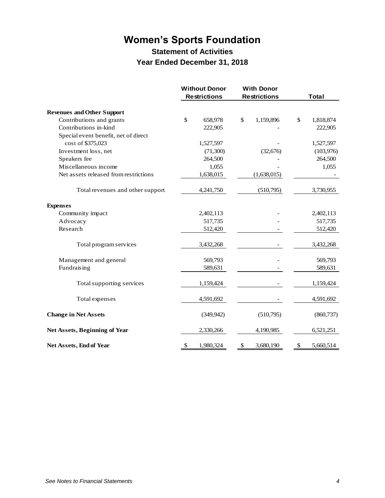### **Statement of Activities Year Ended December 31, 2018**

<span id="page-5-0"></span>

|                                       | <b>Without Donor</b> |           | <b>With Donor</b>   |                 |
|---------------------------------------|----------------------|-----------|---------------------|-----------------|
|                                       | <b>Restrictions</b>  |           | <b>Restrictions</b> | <b>Total</b>    |
| <b>Revenues and Other Support</b>     |                      |           |                     |                 |
| Contributions and grants              | \$                   | 658,978   | \$<br>1,159,896     | \$<br>1,818,874 |
| Contributions in-kind                 | 222,905              |           |                     | 222,905         |
| Special event benefit, net of direct  |                      |           |                     |                 |
| cost of \$375,023                     | 1,527,597            |           |                     | 1,527,597       |
| Investment loss, net                  |                      | (71, 300) | (32, 676)           | (103,976)       |
| Speakers fee                          |                      | 264,500   |                     | 264,500         |
| Miscellaneous income                  |                      | 1,055     |                     | 1,055           |
| Net assets released from restrictions | 1,638,015            |           | (1,638,015)         |                 |
| Total revenues and other support      | 4,241,750            |           | (510,795)           | 3,730,955       |
| <b>Expenses</b>                       |                      |           |                     |                 |
| Community impact                      | 2,402,113            |           |                     | 2,402,113       |
| Advocacy                              | 517,735              |           |                     | 517,735         |
| Research                              |                      | 512,420   |                     | 512,420         |
| Total program services                | 3,432,268            |           |                     | 3,432,268       |
| Management and general                | 569,793              |           |                     | 569,793         |
| Fundraising                           | 589,631              |           |                     | 589,631         |
| Total supporting services             | 1,159,424            |           |                     | 1,159,424       |
| Total expenses                        | 4,591,692            |           |                     | 4,591,692       |
| <b>Change in Net Assets</b>           | (349, 942)           |           | (510,795)           | (860, 737)      |
| <b>Net Assets, Beginning of Year</b>  | 2,330,266            |           | 4,190,985           | 6,521,251       |
| Net Assets, End of Year               | \$<br>1,980,324      |           | \$<br>3,680,190     | \$<br>5,660,514 |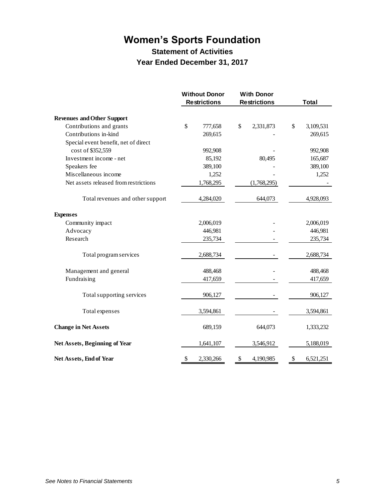### **Statement of Activities Year Ended December 31, 2017**

<span id="page-6-0"></span>

|                                       |    | <b>Without Donor</b><br><b>Restrictions</b> | <b>With Donor</b><br><b>Restrictions</b> | <b>Total</b>    |
|---------------------------------------|----|---------------------------------------------|------------------------------------------|-----------------|
| <b>Revenues and Other Support</b>     |    |                                             |                                          |                 |
| Contributions and grants              | \$ | 777,658                                     | \$<br>2,331,873                          | \$<br>3,109,531 |
| Contributions in-kind                 |    | 269,615                                     |                                          | 269,615         |
| Special event benefit, net of direct  |    |                                             |                                          |                 |
| cost of \$352,559                     |    | 992,908                                     |                                          | 992,908         |
| Investment income - net               |    | 85,192                                      | 80,495                                   | 165,687         |
| Speakers fee                          |    | 389,100                                     |                                          | 389,100         |
| Miscellaneous income                  |    | 1,252                                       |                                          | 1,252           |
| Net assets released from restrictions |    | 1,768,295                                   | (1,768,295)                              |                 |
| Total revenues and other support      |    | 4,284,020                                   | 644,073                                  | 4,928,093       |
| <b>Expenses</b>                       |    |                                             |                                          |                 |
| Community impact                      |    | 2,006,019                                   |                                          | 2,006,019       |
| Advocacy                              |    | 446,981                                     |                                          | 446,981         |
| Research                              |    | 235,734                                     |                                          | 235,734         |
| Total program services                |    | 2,688,734                                   |                                          | 2,688,734       |
| Management and general                |    | 488,468                                     |                                          | 488,468         |
| Fundraising                           |    | 417,659                                     |                                          | 417,659         |
| Total supporting services             |    | 906,127                                     |                                          | 906,127         |
| Total expenses                        |    | 3,594,861                                   |                                          | 3,594,861       |
| <b>Change in Net Assets</b>           |    | 689,159                                     | 644,073                                  | 1,333,232       |
| Net Assets, Beginning of Year         |    | 1,641,107                                   | 3,546,912                                | 5,188,019       |
| Net Assets, End of Year               | \$ | 2,330,266                                   | \$<br>4,190,985                          | \$<br>6,521,251 |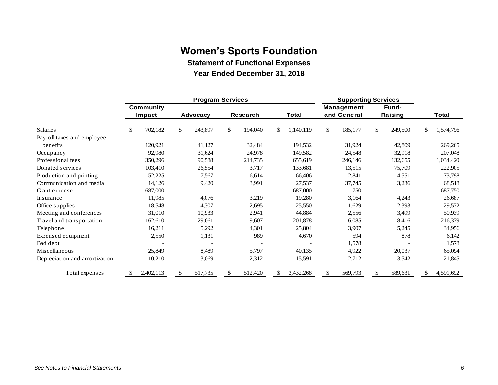**Statement of Functional Expenses**

**Year Ended December 31, 2018**

<span id="page-7-0"></span>

|                               | <b>Program Services</b> |    |          |                          |         |     | <b>Supporting Services</b> |    |                   |    |         |     |           |
|-------------------------------|-------------------------|----|----------|--------------------------|---------|-----|----------------------------|----|-------------------|----|---------|-----|-----------|
|                               | Community               |    |          |                          |         |     |                            |    | <b>Management</b> |    | Fund-   |     |           |
|                               | Impact                  |    | Advocacy | <b>Total</b><br>Research |         |     | and General                |    | Raising           |    | Total   |     |           |
| Salaries                      | \$<br>702,182           | \$ | 243,897  | \$                       | 194,040 | \$  | 1,140,119                  | \$ | 185,177           | \$ | 249,500 | \$  | 1,574,796 |
| Payroll taxes and employee    |                         |    |          |                          |         |     |                            |    |                   |    |         |     |           |
| benefits                      | 120,921                 |    | 41,127   |                          | 32,484  |     | 194,532                    |    | 31,924            |    | 42,809  |     | 269,265   |
| Occupancy                     | 92,980                  |    | 31,624   |                          | 24,978  |     | 149,582                    |    | 24,548            |    | 32,918  |     | 207,048   |
| Professional fees             | 350,296                 |    | 90,588   |                          | 214,735 |     | 655,619                    |    | 246,146           |    | 132,655 |     | 1,034,420 |
| Donated services              | 103,410                 |    | 26,554   |                          | 3,717   |     | 133,681                    |    | 13,515            |    | 75,709  |     | 222,905   |
| Production and printing       | 52,225                  |    | 7,567    |                          | 6,614   |     | 66,406                     |    | 2,841             |    | 4,551   |     | 73,798    |
| Communication and media       | 14,126                  |    | 9,420    |                          | 3,991   |     | 27,537                     |    | 37,745            |    | 3,236   |     | 68,518    |
| Grant expense                 | 687,000                 |    |          |                          |         |     | 687,000                    |    | 750               |    |         |     | 687,750   |
| Insurance                     | 11,985                  |    | 4,076    |                          | 3,219   |     | 19,280                     |    | 3,164             |    | 4,243   |     | 26,687    |
| Office supplies               | 18,548                  |    | 4,307    |                          | 2,695   |     | 25,550                     |    | 1,629             |    | 2,393   |     | 29,572    |
| Meeting and conferences       | 31,010                  |    | 10,933   |                          | 2,941   |     | 44,884                     |    | 2,556             |    | 3,499   |     | 50,939    |
| Travel and transportation     | 162,610                 |    | 29,661   |                          | 9,607   |     | 201,878                    |    | 6,085             |    | 8,416   |     | 216,379   |
| Telephone                     | 16,211                  |    | 5,292    |                          | 4,301   |     | 25,804                     |    | 3,907             |    | 5,245   |     | 34,956    |
| Expensed equipment            | 2,550                   |    | 1,131    |                          | 989     |     | 4,670                      |    | 594               |    | 878     |     | 6,142     |
| Bad debt                      |                         |    |          |                          |         |     |                            |    | 1,578             |    |         |     | 1,578     |
| Miscellaneous                 | 25,849                  |    | 8,489    |                          | 5,797   |     | 40,135                     |    | 4,922             |    | 20,037  |     | 65,094    |
| Depreciation and amortization | 10,210                  |    | 3,069    |                          | 2,312   |     | 15,591                     |    | 2,712             |    | 3,542   |     | 21,845    |
| Total expenses                | 2,402,113               |    | 517,735  |                          | 512,420 | \$. | 3,432,268                  |    | 569,793           |    | 589,631 | \$. | 4,591,692 |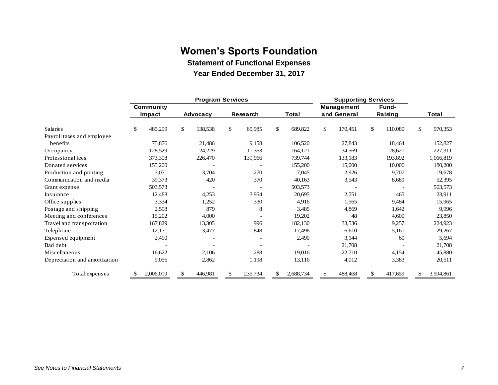**Statement of Functional Expenses**

**Year Ended December 31, 2017**

<span id="page-8-0"></span>

|                               | <b>Program Services</b> |          |         |                   |         |    | <b>Supporting Services</b> |    |                   |              |              |    |           |
|-------------------------------|-------------------------|----------|---------|-------------------|---------|----|----------------------------|----|-------------------|--------------|--------------|----|-----------|
|                               | Community               |          |         |                   |         |    |                            |    | <b>Management</b> |              | <b>Fund-</b> |    |           |
|                               | Impact                  | Advocacy |         | Total<br>Research |         |    | and General                |    | Raising           |              | <b>Total</b> |    |           |
| <b>Salaries</b>               | \$<br>485,299           | \$       | 138,538 | $\mathbb{S}$      | 65,985  | \$ | 689,822                    | \$ | 170,451           | $\mathbb{S}$ | 110,080      | \$ | 970,353   |
| Payroll taxes and employee    |                         |          |         |                   |         |    |                            |    |                   |              |              |    |           |
| benefits                      | 75,876                  |          | 21,486  |                   | 9,158   |    | 106,520                    |    | 27,843            |              | 18,464       |    | 152,827   |
| Occupancy                     | 128,529                 |          | 24,229  |                   | 11,363  |    | 164,121                    |    | 34,569            |              | 28,621       |    | 227,311   |
| Professional fees             | 373,308                 |          | 226,470 |                   | 139,966 |    | 739,744                    |    | 133,183           |              | 193,892      |    | 1,066,819 |
| Donated services              | 155,200                 |          |         |                   |         |    | 155,200                    |    | 15,000            |              | 10,000       |    | 180,200   |
| Production and printing       | 3,071                   |          | 3,704   |                   | 270     |    | 7,045                      |    | 2,926             |              | 9,707        |    | 19,678    |
| Communication and media       | 39,373                  |          | 420     |                   | 370     |    | 40,163                     |    | 3,543             |              | 8,689        |    | 52,395    |
| Grant expense                 | 503,573                 |          |         |                   |         |    | 503,573                    |    |                   |              |              |    | 503,573   |
| Insurance                     | 12,488                  |          | 4,253   |                   | 3,954   |    | 20,695                     |    | 2,751             |              | 465          |    | 23,911    |
| Office supplies               | 3,334                   |          | 1,252   |                   | 330     |    | 4,916                      |    | 1,565             |              | 9,484        |    | 15,965    |
| Postage and shipping          | 2,598                   |          | 879     |                   | 8       |    | 3,485                      |    | 4,869             |              | 1,642        |    | 9,996     |
| Meeting and conferences       | 15,202                  |          | 4,000   |                   |         |    | 19,202                     |    | 48                |              | 4,600        |    | 23,850    |
| Travel and transportation     | 167,829                 |          | 13,305  |                   | 996     |    | 182,130                    |    | 33,536            |              | 9,257        |    | 224,923   |
| Telephone                     | 12,171                  |          | 3,477   |                   | 1,848   |    | 17,496                     |    | 6,610             |              | 5,161        |    | 29,267    |
| Expensed equipment            | 2,490                   |          |         |                   |         |    | 2,490                      |    | 3,144             |              | 60           |    | 5,694     |
| Bad debt                      |                         |          |         |                   |         |    |                            |    | 21,708            |              |              |    | 21,708    |
| Miscellaneous                 | 16,622                  |          | 2,106   |                   | 288     |    | 19,016                     |    | 22,710            |              | 4,154        |    | 45,880    |
| Depreciation and amortization | 9,056                   |          | 2,862   |                   | 1,198   |    | 13,116                     |    | 4,012             |              | 3,383        |    | 20,511    |
| Total expenses                | 2,006,019               |          | 446,981 |                   | 235,734 |    | 2,688,734                  |    | 488,468           |              | 417,659      | S  | 3,594,861 |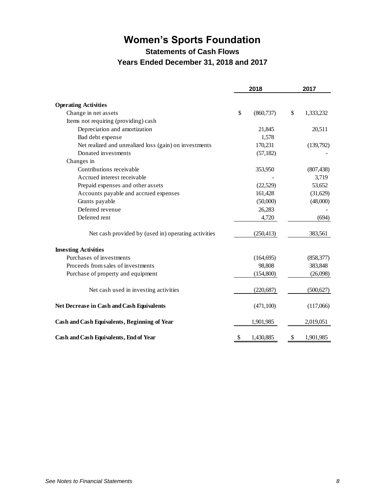**Statements of Cash Flows**

**Years Ended December 31, 2018 and 2017**

<span id="page-9-0"></span>

|                                                        | 2018 |            |    | 2017       |  |  |
|--------------------------------------------------------|------|------------|----|------------|--|--|
|                                                        |      |            |    |            |  |  |
| <b>Operating Activities</b>                            |      |            |    |            |  |  |
| Change in net assets                                   | \$   | (860, 737) | \$ | 1,333,232  |  |  |
| Items not requiring (providing) cash                   |      |            |    |            |  |  |
| Depreciation and amortization                          |      | 21,845     |    | 20,511     |  |  |
| Bad debt expense                                       |      | 1,578      |    |            |  |  |
| Net realized and unrealized loss (gain) on investments |      | 170,231    |    | (139,792)  |  |  |
| Donated investments                                    |      | (57, 182)  |    |            |  |  |
| Changes in                                             |      |            |    |            |  |  |
| Contributions receivable                               |      | 353,950    |    | (807, 438) |  |  |
| Accrued interest receivable                            |      |            |    | 3,719      |  |  |
| Prepaid expenses and other assets                      |      | (22, 529)  |    | 53,652     |  |  |
| Accounts payable and accrued expenses                  |      | 161,428    |    | (31,629)   |  |  |
| Grants payable                                         |      | (50,000)   |    | (48,000)   |  |  |
| Deferred revenue                                       |      | 26,283     |    |            |  |  |
| Deferred rent                                          |      | 4,720      |    | (694)      |  |  |
| Net cash provided by (used in) operating activities    |      | (250, 413) |    | 383,561    |  |  |
| <b>Investing Activities</b>                            |      |            |    |            |  |  |
| Purchases of investments                               |      | (164, 695) |    | (858, 377) |  |  |
| Proceeds from sales of investments                     |      | 98,808     |    | 383,848    |  |  |
| Purchase of property and equipment                     |      | (154, 800) |    | (26,098)   |  |  |
| Net cash used in investing activities                  |      | (220, 687) |    | (500, 627) |  |  |
| Net Decrease in Cash and Cash Equivalents              |      | (471, 100) |    | (117,066)  |  |  |
| Cash and Cash Equivalents, Beginning of Year           |      | 1,901,985  |    | 2,019,051  |  |  |
| Cash and Cash Equivalents, End of Year                 | \$   | 1,430,885  | \$ | 1,901,985  |  |  |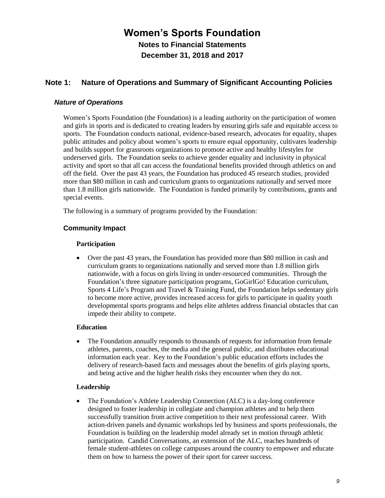**Notes to Financial Statements December 31, 2018 and 2017**

#### **Note 1: Nature of Operations and Summary of Significant Accounting Policies**

#### <span id="page-10-0"></span>*Nature of Operations*

Women's Sports Foundation (the Foundation) is a leading authority on the participation of women and girls in sports and is dedicated to creating leaders by ensuring girls safe and equitable access to sports. The Foundation conducts national, evidence-based research, advocates for equality, shapes public attitudes and policy about women's sports to ensure equal opportunity, cultivates leadership and builds support for grassroots organizations to promote active and healthy lifestyles for underserved girls. The Foundation seeks to achieve gender equality and inclusivity in physical activity and sport so that all can access the foundational benefits provided through athletics on and off the field. Over the past 43 years, the Foundation has produced 45 research studies, provided more than \$80 million in cash and curriculum grants to organizations nationally and served more than 1.8 million girls nationwide. The Foundation is funded primarily by contributions, grants and special events.

The following is a summary of programs provided by the Foundation:

#### **Community Impact**

#### **Participation**

 Over the past 43 years, the Foundation has provided more than \$80 million in cash and curriculum grants to organizations nationally and served more than 1.8 million girls nationwide, with a focus on girls living in under-resourced communities. Through the Foundation's three signature participation programs, GoGіrlGo! Education curriculum, Sports 4 Life's Program and Travel & Training Fund, the Foundation helps sedentary girls to become more active, provides increased access for girls to participate in quality youth developmental sports programs and helps elite athletes address financial obstacles that can impede their ability to compete.

#### **Education**

 The Foundation annually responds to thousands of requests for information from female athletes, parents, coaches, the media and the general public, and distributes educational information each year. Key to the Foundation's public education efforts includes the delivery of research-based facts and messages about the benefits of girls playing sports, and being active and the higher health risks they encounter when they do not.

#### **Leadership**

 The Foundation's Athlete Leadership Connection (ALC) is a day-long conference designed to foster leadership in collegiate and champion athletes and to help them successfully transition from active competition to their next professional career. With action-driven panels and dynamic workshops led by business and sports professionals, the Foundation is building on the leadership model already set in motion through athletic participation. Candid Conversations, an extension of the ALC, reaches hundreds of female student-athletes on college campuses around the country to empower and educate them on how to harness the power of their sport for career success.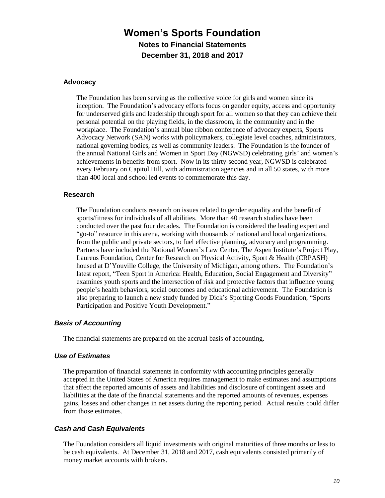#### **Advocacy**

The Foundation has been serving as the collective voice for girls and women since its inception. The Foundation's advocacy efforts focus on gender equity, access and opportunity for underserved girls and leadership through sport for all women so that they can achieve their personal potential on the playing fields, in the classroom, in the community and in the workplace. The Foundation's annual blue ribbon conference of advocacy experts, Sports Advocacy Network (SAN) works with policymakers, collegiate level coaches, administrators, national governing bodies, as well as community leaders. The Foundation is the founder of the annual National Girls and Women in Sport Day (NGWSD) celebrating girls' and women's achievements in benefits from sport. Now in its thirty-second year, NGWSD is celebrated every February on Capitol Hill, with administration agencies and in all 50 states, with more than 400 local and school led events to commemorate this day.

#### **Research**

The Foundation conducts research on issues related to gender equality and the benefit of sports/fitness for individuals of all abilities. More than 40 research studies have been conducted over the past four decades. The Foundation is considered the leading expert and "go-to" resource in this arena, working with thousands of national and local organizations, from the public and private sectors, to fuel effective planning, advocacy and programming. Partners have included the National Women's Law Center, The Aspen Institute's Project Play, Laureus Foundation, Center for Research on Physical Activity, Sport & Health (CRPASH) housed at D'Youville College, the University of Michigan, among others. The Foundation's latest report, "Teen Sport in America: Health, Education, Social Engagement and Diversity" examines youth sports and the intersection of risk and protective factors that influence young people's health behaviors, social outcomes and educational achievement. The Foundation is also preparing to launch a new study funded by Dick's Sporting Goods Foundation, "Sports Participation and Positive Youth Development."

#### *Basis of Accounting*

The financial statements are prepared on the accrual basis of accounting.

#### *Use of Estimates*

The preparation of financial statements in conformity with accounting principles generally accepted in the United States of America requires management to make estimates and assumptions that affect the reported amounts of assets and liabilities and disclosure of contingent assets and liabilities at the date of the financial statements and the reported amounts of revenues, expenses gains, losses and other changes in net assets during the reporting period. Actual results could differ from those estimates.

#### *Cash and Cash Equivalents*

The Foundation considers all liquid investments with original maturities of three months or less to be cash equivalents. At December 31, 2018 and 2017, cash equivalents consisted primarily of money market accounts with brokers.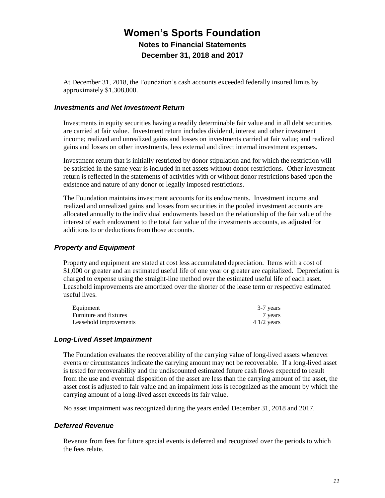At December 31, 2018, the Foundation's cash accounts exceeded federally insured limits by approximately \$1,308,000.

#### *Investments and Net Investment Return*

Investments in equity securities having a readily determinable fair value and in all debt securities are carried at fair value. Investment return includes dividend, interest and other investment income; realized and unrealized gains and losses on investments carried at fair value; and realized gains and losses on other investments, less external and direct internal investment expenses.

Investment return that is initially restricted by donor stipulation and for which the restriction will be satisfied in the same year is included in net assets without donor restrictions. Other investment return is reflected in the statements of activities with or without donor restrictions based upon the existence and nature of any donor or legally imposed restrictions.

The Foundation maintains investment accounts for its endowments. Investment income and realized and unrealized gains and losses from securities in the pooled investment accounts are allocated annually to the individual endowments based on the relationship of the fair value of the interest of each endowment to the total fair value of the investments accounts, as adjusted for additions to or deductions from those accounts.

#### *Property and Equipment*

Property and equipment are stated at cost less accumulated depreciation. Items with a cost of \$1,000 or greater and an estimated useful life of one year or greater are capitalized. Depreciation is charged to expense using the straight-line method over the estimated useful life of each asset. Leasehold improvements are amortized over the shorter of the lease term or respective estimated useful lives.

| Equipment              | 3-7 years    |
|------------------------|--------------|
| Furniture and fixtures | 7 years      |
| Leasehold improvements | $41/2$ years |

#### *Long-Lived Asset Impairment*

The Foundation evaluates the recoverability of the carrying value of long-lived assets whenever events or circumstances indicate the carrying amount may not be recoverable. If a long-lived asset is tested for recoverability and the undiscounted estimated future cash flows expected to result from the use and eventual disposition of the asset are less than the carrying amount of the asset, the asset cost is adjusted to fair value and an impairment loss is recognized as the amount by which the carrying amount of a long-lived asset exceeds its fair value.

No asset impairment was recognized during the years ended December 31, 2018 and 2017.

#### *Deferred Revenue*

Revenue from fees for future special events is deferred and recognized over the periods to which the fees relate.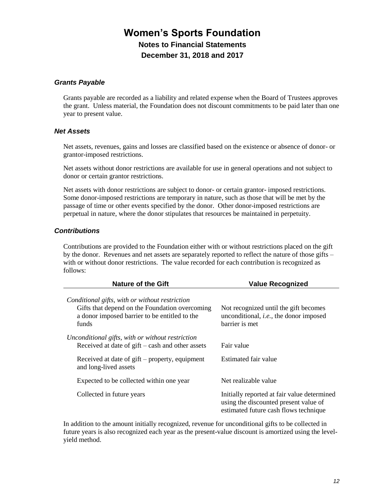#### *Grants Payable*

Grants payable are recorded as a liability and related expense when the Board of Trustees approves the grant. Unless material, the Foundation does not discount commitments to be paid later than one year to present value.

#### *Net Assets*

Net assets, revenues, gains and losses are classified based on the existence or absence of donor- or grantor-imposed restrictions.

Net assets without donor restrictions are available for use in general operations and not subject to donor or certain grantor restrictions.

Net assets with donor restrictions are subject to donor- or certain grantor- imposed restrictions. Some donor-imposed restrictions are temporary in nature, such as those that will be met by the passage of time or other events specified by the donor. Other donor-imposed restrictions are perpetual in nature, where the donor stipulates that resources be maintained in perpetuity.

#### *Contributions*

Contributions are provided to the Foundation either with or without restrictions placed on the gift by the donor. Revenues and net assets are separately reported to reflect the nature of those gifts – with or without donor restrictions. The value recorded for each contribution is recognized as follows:

| <b>Nature of the Gift</b>                                                                                                                                  | <b>Value Recognized</b>                                                                                                       |  |  |  |  |  |
|------------------------------------------------------------------------------------------------------------------------------------------------------------|-------------------------------------------------------------------------------------------------------------------------------|--|--|--|--|--|
| Conditional gifts, with or without restriction<br>Gifts that depend on the Foundation overcoming<br>a donor imposed barrier to be entitled to the<br>funds | Not recognized until the gift becomes<br>unconditional, <i>i.e.</i> , the donor imposed<br>barrier is met                     |  |  |  |  |  |
| Unconditional gifts, with or without restriction<br>Received at date of $g$ ift $-\cosh$ and other assets                                                  | Fair value                                                                                                                    |  |  |  |  |  |
| Received at date of gift – property, equipment<br>and long-lived assets                                                                                    | Estimated fair value                                                                                                          |  |  |  |  |  |
| Expected to be collected within one year                                                                                                                   | Net realizable value                                                                                                          |  |  |  |  |  |
| Collected in future years                                                                                                                                  | Initially reported at fair value determined<br>using the discounted present value of<br>estimated future cash flows technique |  |  |  |  |  |

In addition to the amount initially recognized, revenue for unconditional gifts to be collected in future years is also recognized each year as the present-value discount is amortized using the levelyield method.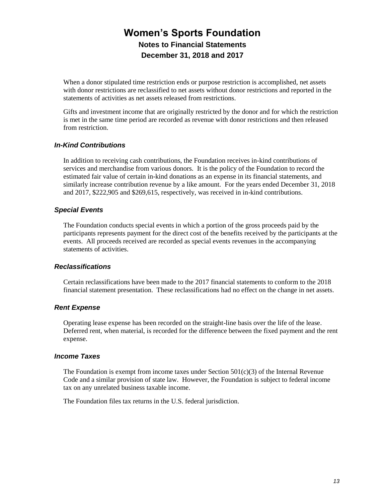When a donor stipulated time restriction ends or purpose restriction is accomplished, net assets with donor restrictions are reclassified to net assets without donor restrictions and reported in the statements of activities as net assets released from restrictions.

Gifts and investment income that are originally restricted by the donor and for which the restriction is met in the same time period are recorded as revenue with donor restrictions and then released from restriction.

#### *In-Kind Contributions*

In addition to receiving cash contributions, the Foundation receives in-kind contributions of services and merchandise from various donors. It is the policy of the Foundation to record the estimated fair value of certain in-kind donations as an expense in its financial statements, and similarly increase contribution revenue by a like amount. For the years ended December 31, 2018 and 2017, \$222,905 and \$269,615, respectively, was received in in-kind contributions.

#### *Special Events*

The Foundation conducts special events in which a portion of the gross proceeds paid by the participants represents payment for the direct cost of the benefits received by the participants at the events. All proceeds received are recorded as special events revenues in the accompanying statements of activities.

#### *Reclassifications*

Certain reclassifications have been made to the 2017 financial statements to conform to the 2018 financial statement presentation. These reclassifications had no effect on the change in net assets.

#### *Rent Expense*

Operating lease expense has been recorded on the straight-line basis over the life of the lease. Deferred rent, when material, is recorded for the difference between the fixed payment and the rent expense.

#### *Income Taxes*

The Foundation is exempt from income taxes under Section  $501(c)(3)$  of the Internal Revenue Code and a similar provision of state law. However, the Foundation is subject to federal income tax on any unrelated business taxable income.

The Foundation files tax returns in the U.S. federal jurisdiction.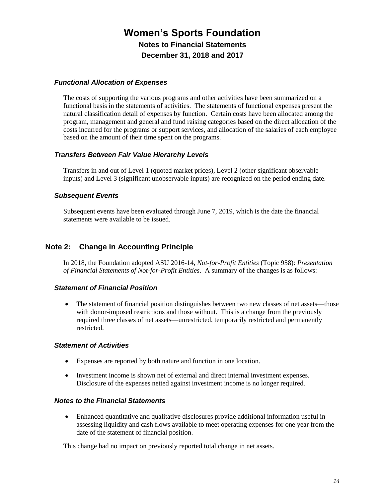#### *Functional Allocation of Expenses*

The costs of supporting the various programs and other activities have been summarized on a functional basis in the statements of activities. The statements of functional expenses present the natural classification detail of expenses by function. Certain costs have been allocated among the program, management and general and fund raising categories based on the direct allocation of the costs incurred for the programs or support services, and allocation of the salaries of each employee based on the amount of their time spent on the programs.

#### *Transfers Between Fair Value Hierarchy Levels*

Transfers in and out of Level 1 (quoted market prices), Level 2 (other significant observable inputs) and Level 3 (significant unobservable inputs) are recognized on the period ending date.

#### *Subsequent Events*

Subsequent events have been evaluated through June 7, 2019, which is the date the financial statements were available to be issued.

#### **Note 2: Change in Accounting Principle**

In 2018, the Foundation adopted ASU 2016-14, *Not-for-Profit Entities* (Topic 958): *Presentation of Financial Statements of Not-for-Profit Entities*. A summary of the changes is as follows:

#### *Statement of Financial Position*

• The statement of financial position distinguishes between two new classes of net assets—those with donor-imposed restrictions and those without. This is a change from the previously required three classes of net assets—unrestricted, temporarily restricted and permanently restricted.

#### *Statement of Activities*

- Expenses are reported by both nature and function in one location.
- Investment income is shown net of external and direct internal investment expenses. Disclosure of the expenses netted against investment income is no longer required.

#### *Notes to the Financial Statements*

 Enhanced quantitative and qualitative disclosures provide additional information useful in assessing liquidity and cash flows available to meet operating expenses for one year from the date of the statement of financial position.

This change had no impact on previously reported total change in net assets.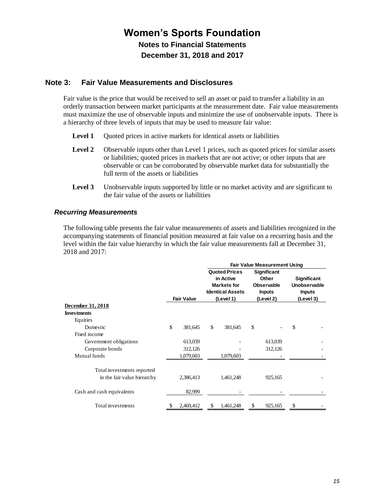#### **Note 3: Fair Value Measurements and Disclosures**

Fair value is the price that would be received to sell an asset or paid to transfer a liability in an orderly transaction between market participants at the measurement date. Fair value measurements must maximize the use of observable inputs and minimize the use of unobservable inputs. There is a hierarchy of three levels of inputs that may be used to measure fair value:

- Level 1 Quoted prices in active markets for identical assets or liabilities
- Level 2 Observable inputs other than Level 1 prices, such as quoted prices for similar assets or liabilities; quoted prices in markets that are not active; or other inputs that are observable or can be corroborated by observable market data for substantially the full term of the assets or liabilities
- **Level 3** Unobservable inputs supported by little or no market activity and are significant to the fair value of the assets or liabilities

#### *Recurring Measurements*

The following table presents the fair value measurements of assets and liabilities recognized in the accompanying statements of financial position measured at fair value on a recurring basis and the level within the fair value hierarchy in which the fair value measurements fall at December 31, 2018 and 2017:

|                             |                   |           | <b>Fair Value Measurement Using</b> |                                                                                                 |    |                                                                         |                                                                  |  |  |  |
|-----------------------------|-------------------|-----------|-------------------------------------|-------------------------------------------------------------------------------------------------|----|-------------------------------------------------------------------------|------------------------------------------------------------------|--|--|--|
|                             | <b>Fair Value</b> |           |                                     | <b>Quoted Prices</b><br>in Active<br><b>Markets for</b><br><b>Identical Assets</b><br>(Level 1) |    | <b>Significant</b><br>Other<br>Observable<br><b>Inputs</b><br>(Level 2) | <b>Significant</b><br>Unobservable<br><b>Inputs</b><br>(Level 3) |  |  |  |
| <b>December 31, 2018</b>    |                   |           |                                     |                                                                                                 |    |                                                                         |                                                                  |  |  |  |
| Investments                 |                   |           |                                     |                                                                                                 |    |                                                                         |                                                                  |  |  |  |
| Equities                    |                   |           |                                     |                                                                                                 |    |                                                                         |                                                                  |  |  |  |
| Domestic                    | \$                | 381,645   | \$                                  | 381,645                                                                                         | \$ |                                                                         | \$                                                               |  |  |  |
| Fixed income                |                   |           |                                     |                                                                                                 |    |                                                                         |                                                                  |  |  |  |
| Government obligations      |                   | 613,039   |                                     |                                                                                                 |    | 613,039                                                                 |                                                                  |  |  |  |
| Corporate bonds             |                   | 312,126   |                                     |                                                                                                 |    | 312,126                                                                 |                                                                  |  |  |  |
| Mutual funds                |                   | 1,079,603 |                                     | 1,079,603                                                                                       |    |                                                                         |                                                                  |  |  |  |
| Total investments reported  |                   |           |                                     |                                                                                                 |    |                                                                         |                                                                  |  |  |  |
| in the fair value hierarchy |                   | 2,386,413 |                                     | 1,461,248                                                                                       |    | 925,165                                                                 |                                                                  |  |  |  |
| Cash and cash equivalents   |                   | 82,999    |                                     |                                                                                                 |    |                                                                         |                                                                  |  |  |  |
| Total investments           |                   | 2,469,412 |                                     | 1,461,248                                                                                       |    | 925,165                                                                 | \$                                                               |  |  |  |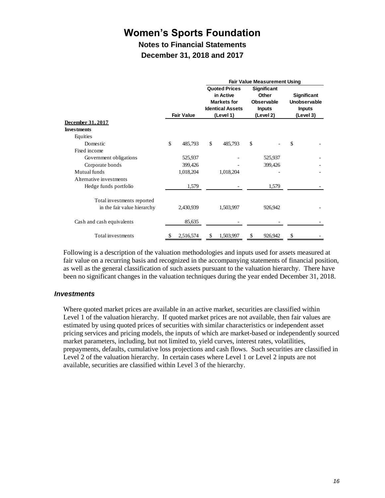### **Notes to Financial Statements December 31, 2018 and 2017**

|                             |    |                   | <b>Fair Value Measurement Using</b> |                                                         |    |                                                  |                                    |  |  |
|-----------------------------|----|-------------------|-------------------------------------|---------------------------------------------------------|----|--------------------------------------------------|------------------------------------|--|--|
|                             |    |                   |                                     | <b>Quoted Prices</b><br>in Active<br><b>Markets for</b> |    | <b>Significant</b><br>Other<br><b>Observable</b> | <b>Significant</b><br>Unobservable |  |  |
|                             |    | <b>Fair Value</b> |                                     | <b>Identical Assets</b><br>(Level 1)                    |    | <b>Inputs</b><br>(Level 2)                       | <b>Inputs</b><br>(Level 3)         |  |  |
| December 31, 2017           |    |                   |                                     |                                                         |    |                                                  |                                    |  |  |
| <b>Investments</b>          |    |                   |                                     |                                                         |    |                                                  |                                    |  |  |
| Equities                    |    |                   |                                     |                                                         |    |                                                  |                                    |  |  |
| Domestic                    | \$ | 485,793           | \$                                  | 485,793                                                 | \$ |                                                  | \$                                 |  |  |
| Fixed income                |    |                   |                                     |                                                         |    |                                                  |                                    |  |  |
| Government obligations      |    | 525,937           |                                     |                                                         |    | 525,937                                          |                                    |  |  |
| Corporate bonds             |    | 399,426           |                                     |                                                         |    | 399,426                                          |                                    |  |  |
| Mutual funds                |    | 1,018,204         |                                     | 1,018,204                                               |    |                                                  |                                    |  |  |
| Alternative investments     |    |                   |                                     |                                                         |    |                                                  |                                    |  |  |
| Hedge funds portfolio       |    | 1,579             |                                     |                                                         |    | 1,579                                            |                                    |  |  |
| Total investments reported  |    |                   |                                     |                                                         |    |                                                  |                                    |  |  |
| in the fair value hierarchy |    | 2,430,939         |                                     | 1,503,997                                               |    | 926,942                                          |                                    |  |  |
| Cash and cash equivalents   |    | 85,635            |                                     |                                                         |    |                                                  |                                    |  |  |
| Total investments           | S  | 2,516,574         |                                     | 1,503,997                                               | \$ | 926,942                                          |                                    |  |  |

Following is a description of the valuation methodologies and inputs used for assets measured at fair value on a recurring basis and recognized in the accompanying statements of financial position, as well as the general classification of such assets pursuant to the valuation hierarchy. There have been no significant changes in the valuation techniques during the year ended December 31, 2018.

#### *Investments*

Where quoted market prices are available in an active market, securities are classified within Level 1 of the valuation hierarchy. If quoted market prices are not available, then fair values are estimated by using quoted prices of securities with similar characteristics or independent asset pricing services and pricing models, the inputs of which are market-based or independently sourced market parameters, including, but not limited to, yield curves, interest rates, volatilities, prepayments, defaults, cumulative loss projections and cash flows. Such securities are classified in Level 2 of the valuation hierarchy. In certain cases where Level 1 or Level 2 inputs are not available, securities are classified within Level 3 of the hierarchy.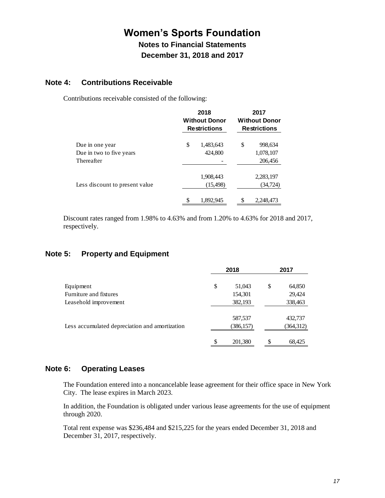**Notes to Financial Statements December 31, 2018 and 2017**

#### **Note 4: Contributions Receivable**

Contributions receivable consisted of the following:

|                                | 2018<br><b>Without Donor</b><br><b>Restrictions</b> | 2017<br><b>Without Donor</b><br><b>Restrictions</b> |  |  |  |
|--------------------------------|-----------------------------------------------------|-----------------------------------------------------|--|--|--|
| Due in one year                | \$<br>1,483,643                                     | \$<br>998,634                                       |  |  |  |
| Due in two to five years       | 424,800                                             | 1,078,107                                           |  |  |  |
| Thereafter                     |                                                     | 206,456                                             |  |  |  |
|                                | 1,908,443                                           | 2,283,197                                           |  |  |  |
| Less discount to present value | (15, 498)                                           | (34, 724)                                           |  |  |  |
|                                | \$<br>1,892,945                                     | \$<br>2,248,473                                     |  |  |  |

Discount rates ranged from 1.98% to 4.63% and from 1.20% to 4.63% for 2018 and 2017, respectively.

### **Note 5: Property and Equipment**

|                                                | 2018          | 2017         |
|------------------------------------------------|---------------|--------------|
| Equipment                                      | \$<br>51,043  | \$<br>64,850 |
| Furniture and fixtures                         | 154,301       | 29,424       |
| Leasehold improvement                          | 382,193       | 338,463      |
|                                                | 587,537       | 432,737      |
| Less accumulated depreciation and amortization | (386, 157)    | (364, 312)   |
|                                                | \$<br>201,380 | 68.425       |

#### **Note 6: Operating Leases**

The Foundation entered into a noncancelable lease agreement for their office space in New York City. The lease expires in March 2023.

In addition, the Foundation is obligated under various lease agreements for the use of equipment through 2020.

Total rent expense was \$236,484 and \$215,225 for the years ended December 31, 2018 and December 31, 2017, respectively.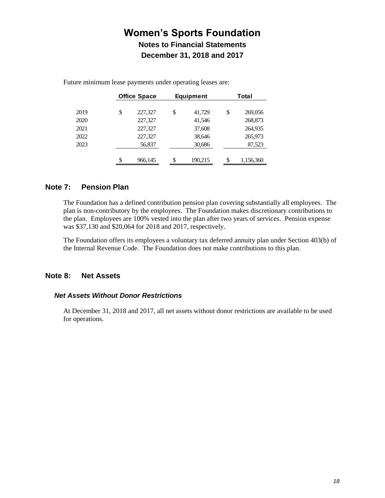|      | <b>Office Space</b> |    | <b>Equipment</b> |    |           |  | Total |
|------|---------------------|----|------------------|----|-----------|--|-------|
|      |                     |    |                  |    |           |  |       |
| 2019 | \$<br>227,327       | \$ | 41,729           | \$ | 269,056   |  |       |
| 2020 | 227,327             |    | 41,546           |    | 268,873   |  |       |
| 2021 | 227,327             |    | 37,608           |    | 264,935   |  |       |
| 2022 | 227,327             |    | 38,646           |    | 265,973   |  |       |
| 2023 | 56,837              |    | 30,686           |    | 87,523    |  |       |
|      |                     |    |                  |    |           |  |       |
|      | \$<br>966,145       | \$ | 190,215          | \$ | 1,156,360 |  |       |
|      |                     |    |                  |    |           |  |       |

Future minimum lease payments under operating leases are:

#### **Note 7: Pension Plan**

The Foundation has a defined contribution pension plan covering substantially all employees. The plan is non-contributory by the employees. The Foundation makes discretionary contributions to the plan. Employees are 100% vested into the plan after two years of services. Pension expense was \$37,130 and \$20,064 for 2018 and 2017, respectively.

The Foundation offers its employees a voluntary tax deferred annuity plan under Section 403(b) of the Internal Revenue Code. The Foundation does not make contributions to this plan.

#### **Note 8: Net Assets**

#### *Net Assets Without Donor Restrictions*

At December 31, 2018 and 2017, all net assets without donor restrictions are available to be used for operations.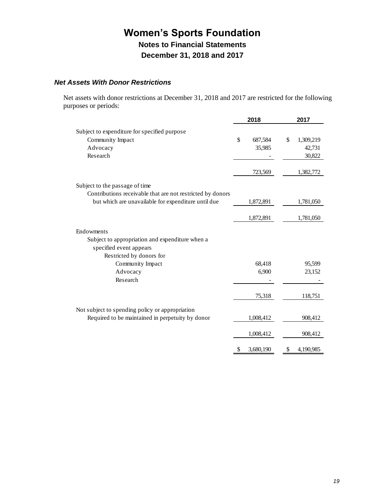#### *Net Assets With Donor Restrictions*

Net assets with donor restrictions at December 31, 2018 and 2017 are restricted for the following purposes or periods:

|                                                                                                                                                                                                        | 2018                                            | 2017                                           |
|--------------------------------------------------------------------------------------------------------------------------------------------------------------------------------------------------------|-------------------------------------------------|------------------------------------------------|
| Subject to expenditure for specified purpose                                                                                                                                                           |                                                 |                                                |
| Community Impact                                                                                                                                                                                       | \$<br>687,584                                   | \$<br>1,309,219                                |
| Advocacy                                                                                                                                                                                               | 35,985                                          | 42,731                                         |
| Research                                                                                                                                                                                               |                                                 | 30,822                                         |
|                                                                                                                                                                                                        |                                                 |                                                |
|                                                                                                                                                                                                        | 723,569                                         | 1,382,772                                      |
| Subject to the passage of time                                                                                                                                                                         |                                                 |                                                |
| Contributions receivable that are not restricted by donors                                                                                                                                             |                                                 |                                                |
| but which are unavailable for expenditure until due                                                                                                                                                    | 1,872,891                                       | 1,781,050                                      |
|                                                                                                                                                                                                        | 1,872,891                                       | 1,781,050                                      |
|                                                                                                                                                                                                        |                                                 |                                                |
| Endowments                                                                                                                                                                                             |                                                 |                                                |
| Subject to appropriation and expenditure when a                                                                                                                                                        |                                                 |                                                |
|                                                                                                                                                                                                        |                                                 |                                                |
|                                                                                                                                                                                                        |                                                 |                                                |
|                                                                                                                                                                                                        |                                                 |                                                |
|                                                                                                                                                                                                        |                                                 |                                                |
|                                                                                                                                                                                                        |                                                 |                                                |
|                                                                                                                                                                                                        | 75,318                                          | 118,751                                        |
|                                                                                                                                                                                                        |                                                 |                                                |
|                                                                                                                                                                                                        |                                                 |                                                |
|                                                                                                                                                                                                        |                                                 |                                                |
|                                                                                                                                                                                                        | 1,008,412                                       | 908,412                                        |
|                                                                                                                                                                                                        |                                                 |                                                |
| specified event appears<br>Restricted by donors for<br>Community Impact<br>Advocacy<br>Research<br>Not subject to spending policy or appropriation<br>Required to be maintained in perpetuity by donor | \$<br>68,418<br>6,900<br>1,008,412<br>3,680,190 | \$<br>95,599<br>23,152<br>908,412<br>4,190,985 |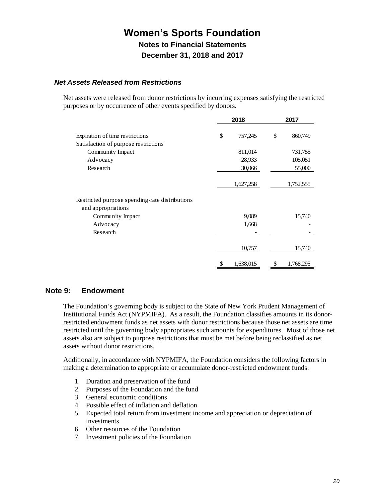#### *Net Assets Released from Restrictions*

Net assets were released from donor restrictions by incurring expenses satisfying the restricted purposes or by occurrence of other events specified by donors.

|                                                                      | 2018            |    | 2017      |  |  |
|----------------------------------------------------------------------|-----------------|----|-----------|--|--|
| Expiration of time restrictions                                      | \$<br>757,245   | \$ | 860,749   |  |  |
| Satisfaction of purpose restrictions                                 |                 |    |           |  |  |
| Community Impact                                                     | 811,014         |    | 731,755   |  |  |
| Advocacy                                                             | 28,933          |    | 105,051   |  |  |
| Research                                                             | 30,066          |    | 55,000    |  |  |
|                                                                      |                 |    |           |  |  |
|                                                                      | 1,627,258       |    | 1,752,555 |  |  |
| Restricted purpose spending-rate distributions<br>and appropriations |                 |    |           |  |  |
| Community Impact                                                     | 9,089           |    | 15,740    |  |  |
| Advocacy                                                             | 1,668           |    |           |  |  |
| Research                                                             |                 |    |           |  |  |
|                                                                      | 10,757          |    | 15,740    |  |  |
|                                                                      | \$<br>1,638,015 | \$ | 1,768,295 |  |  |

#### **Note 9: Endowment**

The Foundation's governing body is subject to the State of New York Prudent Management of Institutional Funds Act (NYPMIFA). As a result, the Foundation classifies amounts in its donorrestricted endowment funds as net assets with donor restrictions because those net assets are time restricted until the governing body appropriates such amounts for expenditures. Most of those net assets also are subject to purpose restrictions that must be met before being reclassified as net assets without donor restrictions.

Additionally, in accordance with NYPMIFA, the Foundation considers the following factors in making a determination to appropriate or accumulate donor-restricted endowment funds:

- 1. Duration and preservation of the fund
- 2. Purposes of the Foundation and the fund
- 3. General economic conditions
- 4. Possible effect of inflation and deflation
- 5. Expected total return from investment income and appreciation or depreciation of investments
- 6. Other resources of the Foundation
- 7. Investment policies of the Foundation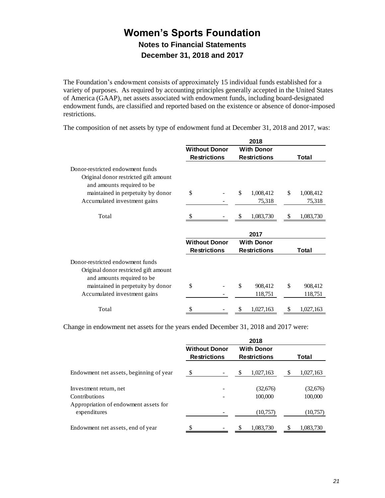The Foundation's endowment consists of approximately 15 individual funds established for a variety of purposes. As required by accounting principles generally accepted in the United States of America (GAAP), net assets associated with endowment funds, including board-designated endowment funds, are classified and reported based on the existence or absence of donor-imposed restrictions.

|                                                                                                         |                                             |    | 2018                                     |                           |
|---------------------------------------------------------------------------------------------------------|---------------------------------------------|----|------------------------------------------|---------------------------|
|                                                                                                         | <b>Without Donor</b>                        |    | <b>With Donor</b>                        |                           |
|                                                                                                         | <b>Restrictions</b>                         |    | <b>Restrictions</b>                      | Total                     |
| Donor-restricted endowment funds<br>Original donor restricted gift amount<br>and amounts required to be |                                             |    |                                          |                           |
| maintained in perpetuity by donor<br>Accumulated investment gains                                       | \$                                          | \$ | 1,008,412<br>75,318                      | \$<br>1,008,412<br>75,318 |
| Total                                                                                                   |                                             |    | 1,083,730                                | \$<br>1,083,730           |
|                                                                                                         |                                             |    | 2017                                     |                           |
|                                                                                                         | <b>Without Donor</b><br><b>Restrictions</b> |    | <b>With Donor</b><br><b>Restrictions</b> | Total                     |
| Donor-restricted endowment funds<br>Original donor restricted gift amount<br>and amounts required to be |                                             |    |                                          |                           |
| maintained in perpetuity by donor<br>Accumulated investment gains                                       | \$                                          | \$ | 908,412<br>118,751                       | \$<br>908,412<br>118,751  |
| Total                                                                                                   | \$                                          | \$ | 1,027,163                                | \$<br>1,027,163           |

The composition of net assets by type of endowment fund at December 31, 2018 and 2017, was:

Change in endowment net assets for the years ended December 31, 2018 and 2017 were:

|                                                       |                                             | 2018                                     |                |
|-------------------------------------------------------|---------------------------------------------|------------------------------------------|----------------|
|                                                       | <b>Without Donor</b><br><b>Restrictions</b> | <b>With Donor</b><br><b>Restrictions</b> | Total          |
| Endowment net assets, beginning of year               | \$                                          | S<br>1,027,163                           | S<br>1,027,163 |
| Investment return, net                                |                                             | (32,676)                                 | (32,676)       |
| Contributions                                         |                                             | 100,000                                  | 100,000        |
| Appropriation of endowment assets for<br>expenditures |                                             | (10,757)                                 | (10,757)       |
| Endowment net assets, end of year                     |                                             | 1,083,730                                | 1,083,730      |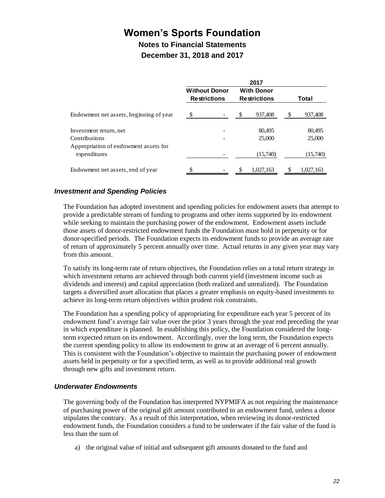**Notes to Financial Statements December 31, 2018 and 2017**

|                                                       |                                             | 2017                                     |              |
|-------------------------------------------------------|---------------------------------------------|------------------------------------------|--------------|
|                                                       | <b>Without Donor</b><br><b>Restrictions</b> | <b>With Donor</b><br><b>Restrictions</b> | Total        |
| Endowment net assets, beginning of year               | \$                                          | 937,408                                  | S<br>937,408 |
| Investment return, net                                |                                             | 80,495                                   | 80,495       |
| Contributions                                         |                                             | 25,000                                   | 25,000       |
| Appropriation of endowment assets for<br>expenditures |                                             | (15,740)                                 | (15,740)     |
| Endowment net assets, end of year                     |                                             | 1,027,163                                | 1,027,163    |

#### *Investment and Spending Policies*

The Foundation has adopted investment and spending policies for endowment assets that attempt to provide a predictable stream of funding to programs and other items supported by its endowment while seeking to maintain the purchasing power of the endowment. Endowment assets include those assets of donor-restricted endowment funds the Foundation must hold in perpetuity or for donor-specified periods. The Foundation expects its endowment funds to provide an average rate of return of approximately 5 percent annually over time. Actual returns in any given year may vary from this amount.

To satisfy its long-term rate of return objectives, the Foundation relies on a total return strategy in which investment returns are achieved through both current yield (investment income such as dividends and interest) and capital appreciation (both realized and unrealized). The Foundation targets a diversified asset allocation that places a greater emphasis on equity-based investments to achieve its long-term return objectives within prudent risk constraints.

The Foundation has a spending policy of appropriating for expenditure each year 5 percent of its endowment fund's average fair value over the prior 3 years through the year end preceding the year in which expenditure is planned. In establishing this policy, the Foundation considered the longterm expected return on its endowment. Accordingly, over the long term, the Foundation expects the current spending policy to allow its endowment to grow at an average of 6 percent annually. This is consistent with the Foundation's objective to maintain the purchasing power of endowment assets held in perpetuity or for a specified term, as well as to provide additional real growth through new gifts and investment return.

#### *Underwater Endowments*

The governing body of the Foundation has interpreted NYPMIFA as not requiring the maintenance of purchasing power of the original gift amount contributed to an endowment fund, unless a donor stipulates the contrary. As a result of this interpretation, when reviewing its donor-restricted endowment funds, the Foundation considers a fund to be underwater if the fair value of the fund is less than the sum of

a) the original value of initial and subsequent gift amounts donated to the fund and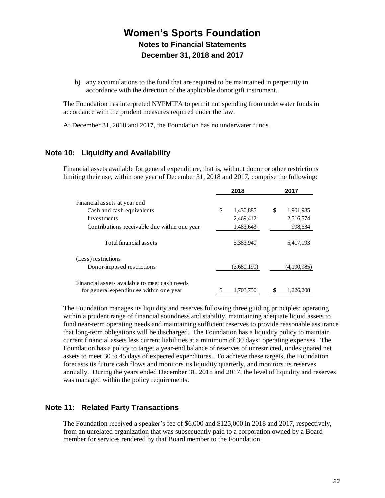b) any accumulations to the fund that are required to be maintained in perpetuity in accordance with the direction of the applicable donor gift instrument.

The Foundation has interpreted NYPMIFA to permit not spending from underwater funds in accordance with the prudent measures required under the law.

At December 31, 2018 and 2017, the Foundation has no underwater funds.

#### **Note 10: Liquidity and Availability**

Financial assets available for general expenditure, that is, without donor or other restrictions limiting their use, within one year of December 31, 2018 and 2017, comprise the following:

|                                                                                           | 2018 |             | 2017 |             |  |
|-------------------------------------------------------------------------------------------|------|-------------|------|-------------|--|
| Financial assets at year end.                                                             |      |             |      |             |  |
| Cash and cash equivalents                                                                 | \$   | 1,430,885   | \$   | 1,901,985   |  |
| Investments                                                                               |      | 2,469,412   |      | 2,516,574   |  |
| Contributions receivable due within one year                                              |      | 1,483,643   |      | 998,634     |  |
| Total financial assets                                                                    |      | 5,383,940   |      | 5,417,193   |  |
| (Less) restrictions                                                                       |      |             |      |             |  |
| Donor-imposed restrictions                                                                |      | (3,680,190) |      | (4,190,985) |  |
| Financial assets available to meet cash needs<br>for general expenditures within one year | \$   | 1.703.750   | \$   | 1.226.208   |  |

The Foundation manages its liquidity and reserves following three guiding principles: operating within a prudent range of financial soundness and stability, maintaining adequate liquid assets to fund near-term operating needs and maintaining sufficient reserves to provide reasonable assurance that long-term obligations will be discharged. The Foundation has a liquidity policy to maintain current financial assets less current liabilities at a minimum of 30 days' operating expenses. The Foundation has a policy to target a year-end balance of reserves of unrestricted, undesignated net assets to meet 30 to 45 days of expected expenditures. To achieve these targets, the Foundation forecasts its future cash flows and monitors its liquidity quarterly, and monitors its reserves annually. During the years ended December 31, 2018 and 2017, the level of liquidity and reserves was managed within the policy requirements.

#### **Note 11: Related Party Transactions**

The Foundation received a speaker's fee of \$6,000 and \$125,000 in 2018 and 2017, respectively, from an unrelated organization that was subsequently paid to a corporation owned by a Board member for services rendered by that Board member to the Foundation.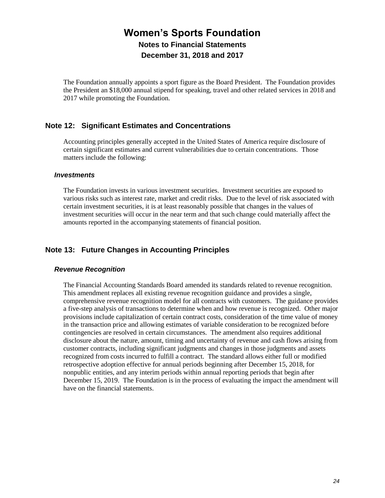The Foundation annually appoints a sport figure as the Board President. The Foundation provides the President an \$18,000 annual stipend for speaking, travel and other related services in 2018 and 2017 while promoting the Foundation.

#### **Note 12: Significant Estimates and Concentrations**

Accounting principles generally accepted in the United States of America require disclosure of certain significant estimates and current vulnerabilities due to certain concentrations. Those matters include the following:

#### *Investments*

The Foundation invests in various investment securities. Investment securities are exposed to various risks such as interest rate, market and credit risks. Due to the level of risk associated with certain investment securities, it is at least reasonably possible that changes in the values of investment securities will occur in the near term and that such change could materially affect the amounts reported in the accompanying statements of financial position.

#### **Note 13: Future Changes in Accounting Principles**

#### *Revenue Recognition*

The Financial Accounting Standards Board amended its standards related to revenue recognition. This amendment replaces all existing revenue recognition guidance and provides a single, comprehensive revenue recognition model for all contracts with customers. The guidance provides a five-step analysis of transactions to determine when and how revenue is recognized. Other major provisions include capitalization of certain contract costs, consideration of the time value of money in the transaction price and allowing estimates of variable consideration to be recognized before contingencies are resolved in certain circumstances. The amendment also requires additional disclosure about the nature, amount, timing and uncertainty of revenue and cash flows arising from customer contracts, including significant judgments and changes in those judgments and assets recognized from costs incurred to fulfill a contract. The standard allows either full or modified retrospective adoption effective for annual periods beginning after December 15, 2018, for nonpublic entities, and any interim periods within annual reporting periods that begin after December 15, 2019. The Foundation is in the process of evaluating the impact the amendment will have on the financial statements.